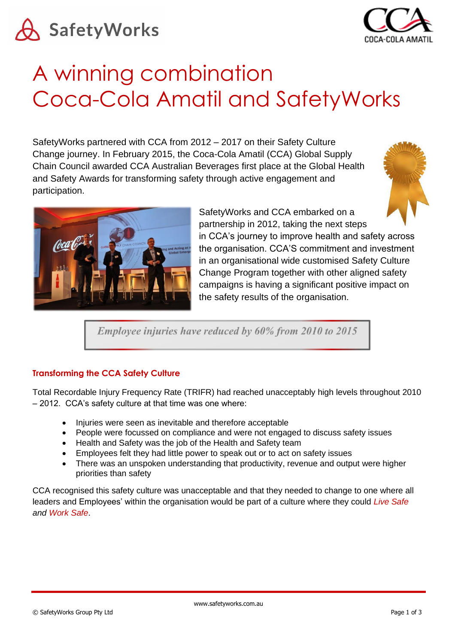



# A winning combination Coca-Cola Amatil and SafetyWorks

SafetyWorks partnered with CCA from 2012 – 2017 on their Safety Culture Change journey. In February 2015, the Coca-Cola Amatil (CCA) Global Supply Chain Council awarded CCA Australian Beverages first place at the Global Health and Safety Awards for transforming safety through active engagement and participation.





SafetyWorks and CCA embarked on a partnership in 2012, taking the next steps

in CCA's journey to improve health and safety across the organisation. CCA'S commitment and investment in an organisational wide customised Safety Culture Change Program together with other aligned safety campaigns is having a significant positive impact on the safety results of the organisation.

Employee injuries have reduced by 60% from 2010 to 2015

# **Transforming the CCA Safety Culture**

Total Recordable Injury Frequency Rate (TRIFR) had reached unacceptably high levels throughout 2010 – 2012. CCA's safety culture at that time was one where:

- Injuries were seen as inevitable and therefore acceptable
- People were focussed on compliance and were not engaged to discuss safety issues
- Health and Safety was the job of the Health and Safety team
- Employees felt they had little power to speak out or to act on safety issues
- There was an unspoken understanding that productivity, revenue and output were higher priorities than safety

CCA recognised this safety culture was unacceptable and that they needed to change to one where all leaders and Employees' within the organisation would be part of a culture where they could *Live Safe and Work Safe*.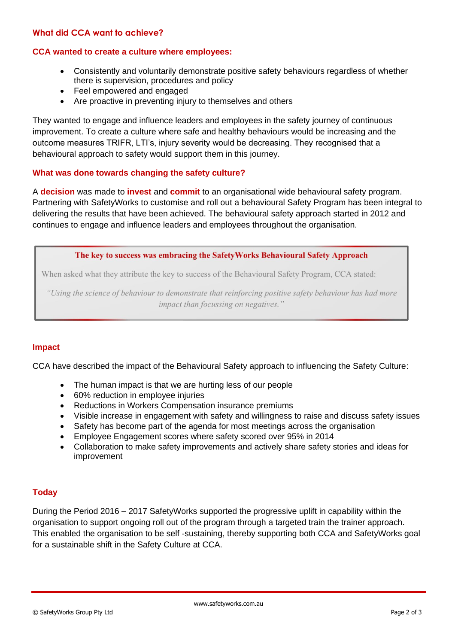# **What did CCA want to achieve?**

# **CCA wanted to create a culture where employees:**

- Consistently and voluntarily demonstrate positive safety behaviours regardless of whether there is supervision, procedures and policy
- Feel empowered and engaged
- Are proactive in preventing injury to themselves and others

They wanted to engage and influence leaders and employees in the safety journey of continuous improvement. To create a culture where safe and healthy behaviours would be increasing and the outcome measures TRIFR, LTI's, injury severity would be decreasing. They recognised that a behavioural approach to safety would support them in this journey.

# **What was done towards changing the safety culture?**

A **decision** was made to **invest** and **commit** to an organisational wide behavioural safety program. Partnering with SafetyWorks to customise and roll out a behavioural Safety Program has been integral to delivering the results that have been achieved. The behavioural safety approach started in 2012 and continues to engage and influence leaders and employees throughout the organisation.

The key to success was embracing the SafetyWorks Behavioural Safety Approach

When asked what they attribute the key to success of the Behavioural Safety Program, CCA stated:

"Using the science of behaviour to demonstrate that reinforcing positive safety behaviour has had more impact than focussing on negatives."

### **Impact**

CCA have described the impact of the Behavioural Safety approach to influencing the Safety Culture:

- The human impact is that we are hurting less of our people
- 60% reduction in employee injuries
- Reductions in Workers Compensation insurance premiums
- Visible increase in engagement with safety and willingness to raise and discuss safety issues
- Safety has become part of the agenda for most meetings across the organisation
- Employee Engagement scores where safety scored over 95% in 2014
- Collaboration to make safety improvements and actively share safety stories and ideas for improvement

# **Today**

During the Period 2016 – 2017 SafetyWorks supported the progressive uplift in capability within the organisation to support ongoing roll out of the program through a targeted train the trainer approach. This enabled the organisation to be self -sustaining, thereby supporting both CCA and SafetyWorks goal for a sustainable shift in the Safety Culture at CCA.